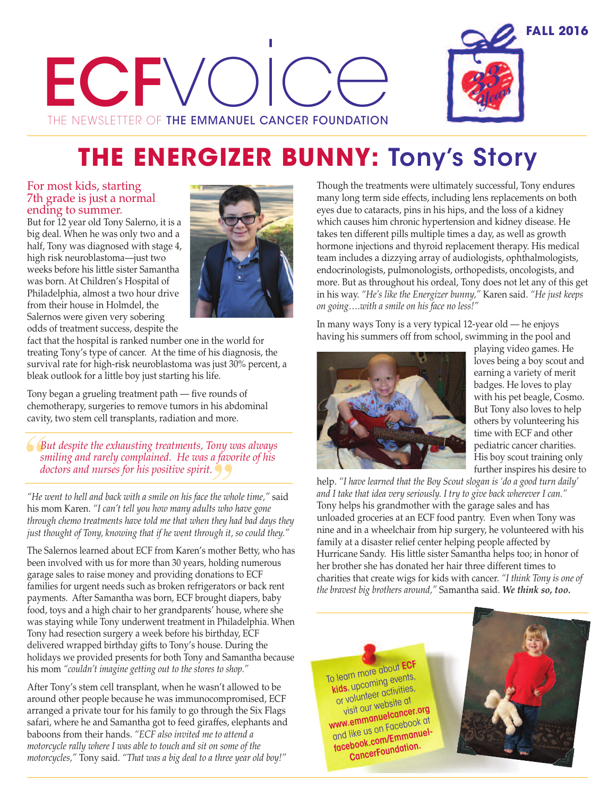# ECFV THE NEWSLETTER OF THE EMMANUEL CANCER FOUNDATION |<br>|<br>CAI



# **THE ENERGIZER BUNNY: Tony's Story**

#### For most kids, starting 7th grade is just a normal ending to summer.

But for 12 year old Tony Salerno, it is a big deal. When he was only two and a half, Tony was diagnosed with stage 4, high risk neuroblastoma—just two weeks before his little sister Samantha was born. At Children's Hospital of Philadelphia, almost a two hour drive from their house in Holmdel, the Salernos were given very sobering odds of treatment success, despite the



fact that the hospital is ranked number one in the world for treating Tony's type of cancer. At the time of his diagnosis, the survival rate for high-risk neuroblastoma was just 30% percent, a bleak outlook for a little boy just starting his life.

Tony began a grueling treatment path — five rounds of chemotherapy, surgeries to remove tumors in his abdominal cavity, two stem cell transplants, radiation and more.

*But despite the exhausting treatments, Tony was always smiling and rarely complained. He was a favorite of his doctors and nurses for his positive spirit.*

*"He went to hell and back with a smile on his face the whole time,"* said his mom Karen. *"I can't tell you how many adults who have gone through chemo treatments have told me that when they had bad days they just thought of Tony, knowing that if he went through it, so could they."*

The Salernos learned about ECF from Karen's mother Betty, who has been involved with us for more than 30 years, holding numerous garage sales to raise money and providing donations to ECF families for urgent needs such as broken refrigerators or back rent payments. After Samantha was born, ECF brought diapers, baby food, toys and a high chair to her grandparents' house, where she was staying while Tony underwent treatment in Philadelphia. When Tony had resection surgery a week before his birthday, ECF delivered wrapped birthday gifts to Tony's house. During the holidays we provided presents for both Tony and Samantha because his mom *"couldn't imagine getting out to the stores to shop."*

After Tony's stem cell transplant, when he wasn't allowed to be around other people because he was immunocompromised, ECF arranged a private tour for his family to go through the Six Flags safari, where he and Samantha got to feed giraffes, elephants and baboons from their hands. *"ECF also invited me to attend a motorcycle rally where I was able to touch and sit on some of the motorcycles,"* Tony said. *"That was a big deal to a three year old boy!"*

Though the treatments were ultimately successful, Tony endures many long term side effects, including lens replacements on both eyes due to cataracts, pins in his hips, and the loss of a kidney which causes him chronic hypertension and kidney disease. He takes ten different pills multiple times a day, as well as growth hormone injections and thyroid replacement therapy. His medical team includes a dizzying array of audiologists, ophthalmologists, endocrinologists, pulmonologists, orthopedists, oncologists, and more. But as throughout his ordeal, Tony does not let any of this get in his way. *"He's like the Energizer bunny,"* Karen said. *"He just keeps on going….with a smile on his face no less!"*

In many ways Tony is a very typical 12-year old — he enjoys having his summers off from school, swimming in the pool and



playing video games. He loves being a boy scout and earning a variety of merit badges. He loves to play with his pet beagle, Cosmo. But Tony also loves to help others by volunteering his time with ECF and other pediatric cancer charities. His boy scout training only further inspires his desire to

help. *"I have learned that the Boy Scout slogan is 'do a good turn daily' and I take that idea very seriously. I try to give back wherever I can."* Tony helps his grandmother with the garage sales and has unloaded groceries at an ECF food pantry. Even when Tony was nine and in a wheelchair from hip surgery, he volunteered with his family at a disaster relief center helping people affected by Hurricane Sandy. His little sister Samantha helps too; in honor of her brother she has donated her hair three different times to charities that create wigs for kids with cancer. *"I think Tony is one of the bravest big brothers around,"* Samantha said. *We think so, too.*

To learn more about **ECF kids**, upcoming events, or volunteer activities, visit our website at **www.emmanuelcancer.org** and like us on Facebook at **facebook.com/Emmanuel-CancerFoundation.**

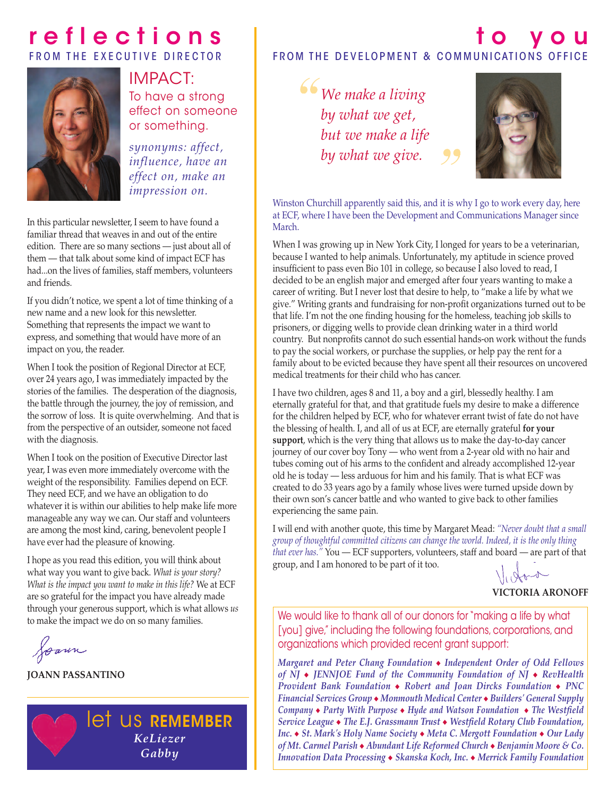### **r e f l e c t i o n s** FROM THE EXECUTIVE DIRECTOR



# IMPACT:

To have a strong effect on someone or something.

*synonyms: affect, influence, have an effect on, make an impression on.*

In this particular newsletter, I seem to have found a familiar thread that weaves in and out of the entire edition. There are so many sections — just about all of them — that talk about some kind of impact ECF has had...on the lives of families, staff members, volunteers and friends.

If you didn't notice, we spent a lot of time thinking of a new name and a new look for this newsletter. Something that represents the impact we want to express, and something that would have more of an impact on you, the reader.

When I took the position of Regional Director at ECF, over 24 years ago, I was immediately impacted by the stories of the families. The desperation of the diagnosis, the battle through the journey, the joy of remission, and the sorrow of loss. It is quite overwhelming. And that is from the perspective of an outsider, someone not faced with the diagnosis.

When I took on the position of Executive Director last year, I was even more immediately overcome with the weight of the responsibility. Families depend on ECF. They need ECF, and we have an obligation to do whatever it is within our abilities to help make life more manageable any way we can. Our staff and volunteers are among the most kind, caring, benevolent people I have ever had the pleasure of knowing.

I hope as you read this edition, you will think about what way you want to give back. *What is your story? What is the impact you want to make in this life?* We at ECF are so grateful for the impact you have already made through your generous support, which is what allows *us* to make the impact we do on so many families.

Joann

**JOANN PASSANTINO**



### **t o y o u** FROM THE DEVELOPMENT & COMMUNICATIONS OFFICE

*We make a living by what we get, but we make a life by what we give.*



Winston Churchill apparently said this, and it is why I go to work every day, here at ECF, where I have been the Development and Communications Manager since March.

When I was growing up in New York City, I longed for years to be a veterinarian, because I wanted to help animals. Unfortunately, my aptitude in science proved insufficient to pass even Bio 101 in college, so because I also loved to read, I decided to be an english major and emerged after four years wanting to make a career of writing. But I never lost that desire to help, to "make a life by what we give." Writing grants and fundraising for non-profit organizations turned out to be that life. I'm not the one finding housing for the homeless, teaching job skills to prisoners, or digging wells to provide clean drinking water in a third world country. But nonprofits cannot do such essential hands-on work without the funds to pay the social workers, or purchase the supplies, or help pay the rent for a family about to be evicted because they have spent all their resources on uncovered medical treatments for their child who has cancer.

I have two children, ages 8 and 11, a boy and a girl, blessedly healthy. I am eternally grateful for that, and that gratitude fuels my desire to make a difference for the children helped by ECF, who for whatever errant twist of fate do not have the blessing of health. I, and all of us at ECF, are eternally grateful **for your support**, which is the very thing that allows us to make the day-to-day cancer journey of our cover boy Tony — who went from a 2-year old with no hair and tubes coming out of his arms to the confident and already accomplished 12-year old he is today — less arduous for him and his family. That is what ECF was created to do 33 years ago by a family whose lives were turned upside down by their own son's cancer battle and who wanted to give back to other families experiencing the same pain.

I will end with another quote, this time by Margaret Mead: *"Never doubt that a small group of thoughtful committed citizens can change the world. Indeed, it is the only thing that ever has."* You — ECF supporters, volunteers, staff and board — are part of that group, and I am honored to be part of it too.

**VICTORIA ARONOFF**

We would like to thank all of our donors for "making a life by what [you] give," including the following foundations, corporations, and organizations which provided recent grant support:

*Margaret and Peter Chang Foundation* <sup>u</sup> *Independent Order of Odd Fellows of NJ* <sup>u</sup> *JENNJOE Fund of the Community Foundation of NJ* <sup>u</sup> *RevHealth Provident Bank Foundation* • Robert *and Joan Dircks Foundation* • PNC *Financial Services Group*  $\bullet$  *Monmouth Medical Center*  $\bullet$  *Builders' General Supply Company* • Party With Purpose • Hyde and Watson Foundation • The Westfield *Service League* u *The E.J. Grassmann Trust* u *Westfield Rotary Club Foundation, Inc. ◆ St. Mark's Holy Name Society ◆ Meta C. Mergott Foundation ◆ Our Lady of Mt. Carmel Parish* u *Abundant Life Reformed Church* u *Benjamin Moore & Co. Innovation Data Processing* u *Skanska Koch, Inc.* u *Merrick Family Foundation*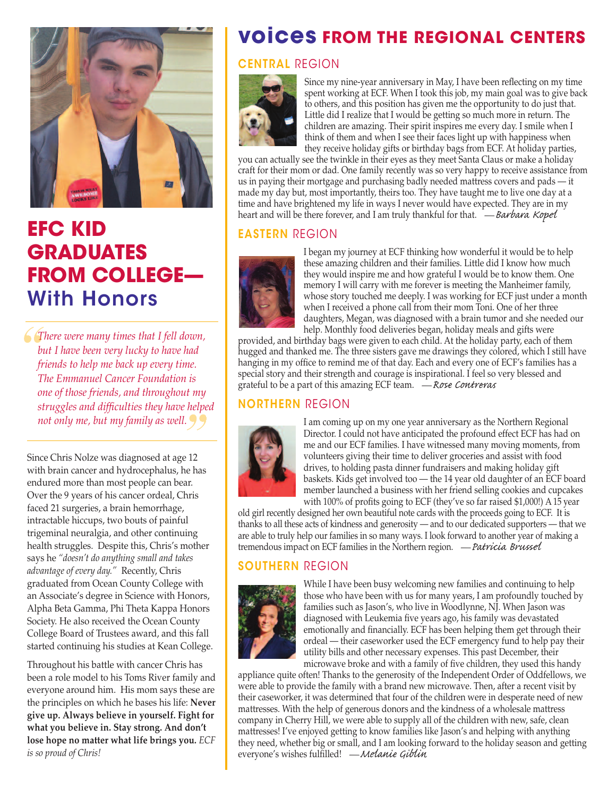

### **EFC KID GRADUATES FROM COLLEGE— With Honors**

*There were many times that I fell down, but I have been very lucky to have had friends to help me back up every time. The Emmanuel Cancer Foundation is one of those friends, and throughout my struggles and difficulties they have helped not only me, but my family as well.*

Since Chris Nolze was diagnosed at age 12 with brain cancer and hydrocephalus, he has endured more than most people can bear. Over the 9 years of his cancer ordeal, Chris faced 21 surgeries, a brain hemorrhage, intractable hiccups, two bouts of painful trigeminal neuralgia, and other continuing health struggles. Despite this, Chris's mother says he *"doesn't do anything small and takes advantage of every day."* Recently, Chris graduated from Ocean County College with an Associate's degree in Science with Honors, Alpha Beta Gamma, Phi Theta Kappa Honors Society. He also received the Ocean County College Board of Trustees award, and this fall started continuing his studies at Kean College.

Throughout his battle with cancer Chris has been a role model to his Toms River family and everyone around him. His mom says these are the principles on which he bases his life: **Never give up. Always believe in yourself. Fight for what you believe in. Stay strong. And don't lose hope no matter what life brings you.** *ECF is so proud of Chris!*

### **voices FROM THE REGIONAL CENTERS**

#### **CENTRAL** RegIon



Since my nine-year anniversary in May, I have been reflecting on my time spent working at ECF. When I took this job, my main goal was to give back to others, and this position has given me the opportunity to do just that. Little did I realize that I would be getting so much more in return. The children are amazing. Their spirit inspires me every day. I smile when I think of them and when I see their faces light up with happiness when they receive holiday gifts or birthday bags from ECF. At holiday parties,

you can actually see the twinkle in their eyes as they meet Santa Claus or make a holiday craft for their mom or dad. One family recently was so very happy to receive assistance from us in paying their mortgage and purchasing badly needed mattress covers and pads — it made my day but, most importantly, theirs too. They have taught me to live one day at a time and have brightened my life in ways I never would have expected. They are in my heart and will be there forever, and I am truly thankful for that.  $\mathcal{L}$  – Barbara Kopel

#### **EASTERN** RegIon



I began my journey at ECF thinking how wonderful it would be to help these amazing children and their families. Little did I know how much they would inspire me and how grateful I would be to know them. One memory I will carry with me forever is meeting the Manheimer family, whose story touched me deeply. I was working for ECF just under a month when I received a phone call from their mom Toni. One of her three daughters, Megan, was diagnosed with a brain tumor and she needed our help. Monthly food deliveries began, holiday meals and gifts were

provided, and birthday bags were given to each child. At the holiday party, each of them hugged and thanked me. The three sisters gave me drawings they colored, which I still have hanging in my office to remind me of that day. Each and every one of ECF's families has a special story and their strength and courage is inspirational. I feel so very blessed and grateful to be a part of this amazing ECF team. - Rose Contreras

#### **NORTHERN** RegIon



I am coming up on my one year anniversary as the Northern Regional Director. I could not have anticipated the profound effect ECF has had on me and our ECF families. I have witnessed many moving moments, from volunteers giving their time to deliver groceries and assist with food drives, to holding pasta dinner fundraisers and making holiday gift baskets. Kids get involved too — the 14 year old daughter of an ECF board member launched a business with her friend selling cookies and cupcakes with 100% of profits going to ECF (they've so far raised \$1,000!) A 15 year

old girl recently designed her own beautiful note cards with the proceeds going to ECF. It is thanks to all these acts of kindness and generosity — and to our dedicated supporters — that we are able to truly help our families in so many ways. I look forward to another year of making a tremendous impact on ECF families in the Northern region. — *Patricia Brussel* 

#### **SOUTHERN** RegIon



While I have been busy welcoming new families and continuing to help those who have been with us for many years, I am profoundly touched by families such as Jason's, who live in Woodlynne, NJ. When Jason was diagnosed with Leukemia five years ago, his family was devastated emotionally and financially. ECF has been helping them get through their ordeal — their caseworker used the ECF emergency fund to help pay their utility bills and other necessary expenses. This past December, their

microwave broke and with a family of five children, they used this handy appliance quite often! Thanks to the generosity of the Independent Order of Oddfellows, we were able to provide the family with a brand new microwave. Then, after a recent visit by their caseworker, it was determined that four of the children were in desperate need of new mattresses. With the help of generous donors and the kindness of a wholesale mattress company in Cherry Hill, we were able to supply all of the children with new, safe, clean mattresses! I've enjoyed getting to know families like Jason's and helping with anything they need, whether big or small, and I am looking forward to the holiday season and getting everyone's wishes fulfilled! — Melanie Giblin